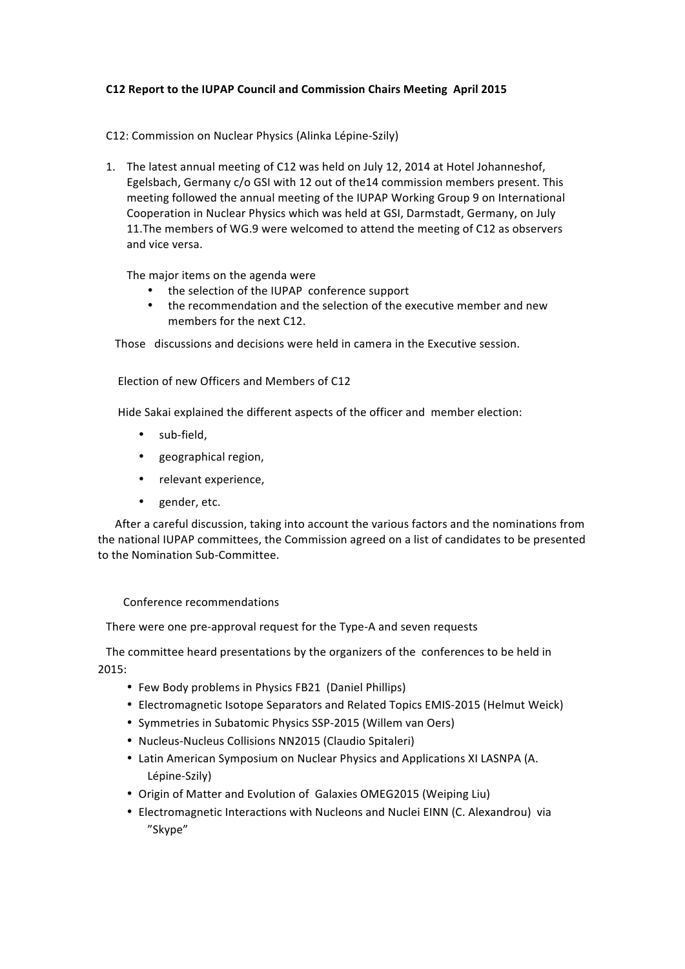## **C12 Report to the IUPAP Council and Commission Chairs Meeting April 2015**

## C12: Commission on Nuclear Physics (Alinka Lépine-Szily)

1. The latest annual meeting of C12 was held on July 12, 2014 at Hotel Johanneshof, Egelsbach, Germany c/o GSI with 12 out of the14 commission members present. This meeting followed the annual meeting of the IUPAP Working Group 9 on International Cooperation in Nuclear Physics which was held at GSI, Darmstadt, Germany, on July 11. The members of WG.9 were welcomed to attend the meeting of C12 as observers and vice versa.

The major items on the agenda were

- the selection of the IUPAP conference support
- the recommendation and the selection of the executive member and new members for the next C12.

Those discussions and decisions were held in camera in the Executive session.

Election of new Officers and Members of C12

Hide Sakai explained the different aspects of the officer and member election:

- sub-field,
- geographical region,
- relevant experience,
- gender, etc.

After a careful discussion, taking into account the various factors and the nominations from the national IUPAP committees, the Commission agreed on a list of candidates to be presented to the Nomination Sub-Committee.

Conference recommendations

There were one pre-approval request for the Type-A and seven requests

The committee heard presentations by the organizers of the conferences to be held in 2015:

- Few Body problems in Physics FB21 (Daniel Phillips)
- Electromagnetic Isotope Separators and Related Topics EMIS-2015 (Helmut Weick)
- Symmetries in Subatomic Physics SSP-2015 (Willem van Oers)
- Nucleus-Nucleus Collisions NN2015 (Claudio Spitaleri)
- Latin American Symposium on Nuclear Physics and Applications XI LASNPA (A. Lépine-Szily)
- Origin of Matter and Evolution of Galaxies OMEG2015 (Weiping Liu)
- Electromagnetic Interactions with Nucleons and Nuclei EINN (C. Alexandrou) via "Skype"